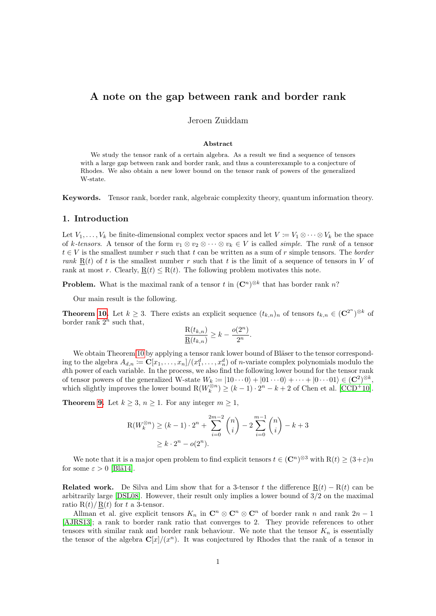# A note on the gap between rank and border rank

# Jeroen Zuiddam

#### Abstract

We study the tensor rank of a certain algebra. As a result we find a sequence of tensors with a large gap between rank and border rank, and thus a counterexample to a conjecture of Rhodes. We also obtain a new lower bound on the tensor rank of powers of the generalized W-state.

Keywords. Tensor rank, border rank, algebraic complexity theory, quantum information theory.

## 1. Introduction

Let  $V_1, \ldots, V_k$  be finite-dimensional complex vector spaces and let  $V := V_1 \otimes \cdots \otimes V_k$  be the space of k-tensors. A tensor of the form  $v_1 \otimes v_2 \otimes \cdots \otimes v_k \in V$  is called *simple*. The *rank* of a tensor  $t \in V$  is the smallest number r such that t can be written as a sum of r simple tensors. The border rank  $R(t)$  of t is the smallest number r such that t is the limit of a sequence of tensors in V of rank at most r. Clearly,  $R(t) \leq R(t)$ . The following problem motivates this note.

**Problem.** What is the maximal rank of a tensor t in  $(\mathbb{C}^n)^{\otimes k}$  that has border rank n?

Our main result is the following.

**Theorem [10.](#page-4-0)** Let  $k \geq 3$ . There exists an explicit sequence  $(t_{k,n})_n$  of tensors  $t_{k,n} \in (\mathbb{C}^{2^n})^{\otimes k}$  of border rank  $2^n$  such that,

$$
\frac{\mathcal{R}(t_{k,n})}{\underline{\mathcal{R}}(t_{k,n})} \geq k - \frac{o(2^n)}{2^n}.
$$

We obtain Theorem [10](#page-4-0) by applying a tensor rank lower bound of Bläser to the tensor corresponding to the algebra  $A_{d,n} \coloneqq \mathbf{C}[x_1,\ldots,x_n]/(x_1^d,\ldots,x_n^d)$  of *n*-variate complex polynomials modulo the dth power of each variable. In the process, we also find the following lower bound for the tensor rank of tensor powers of the generalized W-state  $W_k := |10 \cdots 0\rangle + |01 \cdots 0\rangle + \cdots + |0 \cdots 01\rangle \in (\mathbf{C}^2)^{\otimes k}$ , which slightly improves the lower bound  $R(W_k^{\otimes n}) \ge (k-1) \cdot 2^n - k + 2$  of Chen et al. [\[CCD](#page-5-0)<sup>+</sup>10].

**Theorem [9.](#page-3-0)** Let  $k \geq 3$ ,  $n \geq 1$ . For any integer  $m \geq 1$ ,

$$
R(W_k^{\otimes n}) \ge (k-1) \cdot 2^n + \sum_{i=0}^{2m-2} \binom{n}{i} - 2 \sum_{i=0}^{m-1} \binom{n}{i} - k + 3
$$
  
 
$$
\ge k \cdot 2^n - o(2^n).
$$

We note that it is a major open problem to find explicit tensors  $t \in (\mathbb{C}^n)^{\otimes 3}$  with  $R(t) \geq (3+\varepsilon)n$ for some  $\varepsilon > 0$  [Blä14].

Related work. De Silva and Lim show that for a 3-tensor t the difference  $R(t) - R(t)$  can be arbitrarily large  $[DSL08]$ . However, their result only implies a lower bound of  $3/2$  on the maximal ratio  $R(t)/R(t)$  for t a 3-tensor.

Allman et al. give explicit tensors  $K_n$  in  $\mathbb{C}^n \otimes \mathbb{C}^n \otimes \mathbb{C}^n$  of border rank n and rank  $2n-1$ [\[AJRS13\]](#page-4-1); a rank to border rank ratio that converges to 2. They provide references to other tensors with similar rank and border rank behaviour. We note that the tensor  $K_n$  is essentially the tensor of the algebra  $\mathbb{C}[x]/(x^n)$ . It was conjectured by Rhodes that the rank of a tensor in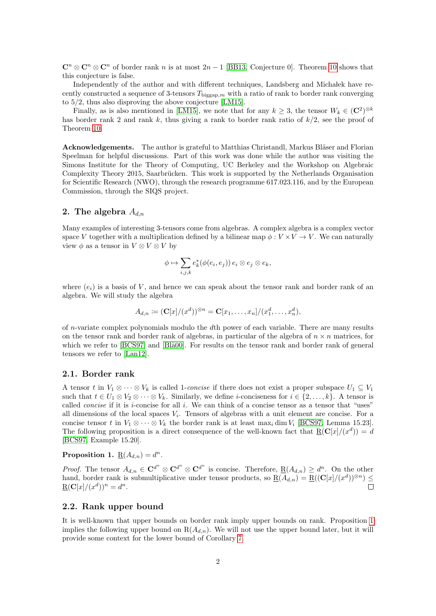$\mathbb{C}^n \otimes \mathbb{C}^n \otimes \mathbb{C}^n$  of border rank n is at most  $2n-1$  [\[BB13,](#page-4-2) Conjecture 0]. Theorem [10](#page-4-0) shows that this conjecture is false.

Independently of the author and with different techniques, Landsberg and Michałek have recently constructed a sequence of 3-tensors  $T_{\text{biggap},m}$  with a ratio of rank to border rank converging to 5/2, thus also disproving the above conjecture [\[LM15\]](#page-5-3).

Finally, as is also mentioned in [\[LM15\]](#page-5-3), we note that for any  $k \geq 3$ , the tensor  $W_k \in (\mathbb{C}^2)^{\otimes k}$ has border rank 2 and rank k, thus giving a rank to border rank ratio of  $k/2$ , see the proof of Theorem [10.](#page-4-0)

**Acknowledgements.** The author is grateful to Matthias Christandl, Markus Bläser and Florian Speelman for helpful discussions. Part of this work was done while the author was visiting the Simons Institute for the Theory of Computing, UC Berkeley and the Workshop on Algebraic Complexity Theory 2015, Saarbrücken. This work is supported by the Netherlands Organisation for Scientific Research (NWO), through the research programme 617.023.116, and by the European Commission, through the SIQS project.

# 2. The algebra  $A_{dn}$

Many examples of interesting 3-tensors come from algebras. A complex algebra is a complex vector space V together with a multiplication defined by a bilinear map  $\phi: V \times V \to V$ . We can naturally view  $\phi$  as a tensor in  $V \otimes V \otimes V$  by

$$
\phi \mapsto \sum_{i,j,k} e_k^*(\phi(e_i,e_j))\, e_i \otimes e_j \otimes e_k,
$$

where  $(e_i)$  is a basis of V, and hence we can speak about the tensor rank and border rank of an algebra. We will study the algebra

$$
A_{d,n} \coloneqq (\mathbf{C}[x]/(x^d))^{\otimes n} = \mathbf{C}[x_1,\ldots,x_n]/(x_1^d,\ldots,x_n^d),
$$

of  $n$ -variate complex polynomials modulo the  $d$ th power of each variable. There are many results on the tensor rank and border rank of algebras, in particular of the algebra of  $n \times n$  matrices, for which we refer to [\[BCS97\]](#page-4-3) and [Blä00]. For results on the tensor rank and border rank of general tensors we refer to [\[Lan12\]](#page-5-5).

## 2.1. Border rank

A tensor t in  $V_1 \otimes \cdots \otimes V_k$  is called 1-concise if there does not exist a proper subspace  $U_1 \subseteq V_1$ such that  $t \in U_1 \otimes V_2 \otimes \cdots \otimes V_k$ . Similarly, we define *i*-conciseness for  $i \in \{2, \ldots, k\}$ . A tensor is called *concise* if it is  $i$ -concise for all  $i$ . We can think of a concise tensor as a tensor that "uses" all dimensions of the local spaces  $V_i$ . Tensors of algebras with a unit element are concise. For a concise tensor t in  $V_1 \otimes \cdots \otimes V_k$  the border rank is at least max<sub>i</sub> dim  $V_i$  [\[BCS97,](#page-4-3) Lemma 15.23]. The following proposition is a direct consequence of the well-known fact that  $\underline{R}(\mathbf{C}[x]/(x^d)) = d$ [\[BCS97,](#page-4-3) Example 15.20].

<span id="page-1-0"></span>Proposition 1.  $\underline{\mathrm{R}}(A_{d,n}) = d^n$ .

*Proof.* The tensor  $A_{d,n} \in \mathbf{C}^{d^n} \otimes \mathbf{C}^{d^n} \otimes \mathbf{C}^{d^n}$  is concise. Therefore,  $\underline{\mathbf{R}}(A_{d,n}) \geq d^n$ . On the other hand, border rank is submultiplicative under tensor products, so  $\underline{R}(A_{d,n}) = \underline{R}((\mathbf{C}[x]/(x^d))^{\otimes n}) \leq$  $\underline{\mathrm{R}}(\mathbf{C}[x]/(x^d))^n = d^n.$  $\Box$ 

# 2.2. Rank upper bound

It is well-known that upper bounds on border rank imply upper bounds on rank. Proposition [1](#page-1-0) implies the following upper bound on  $R(A_{d,n})$ . We will not use the upper bound later, but it will provide some context for the lower bound of Corollary [7.](#page-2-0)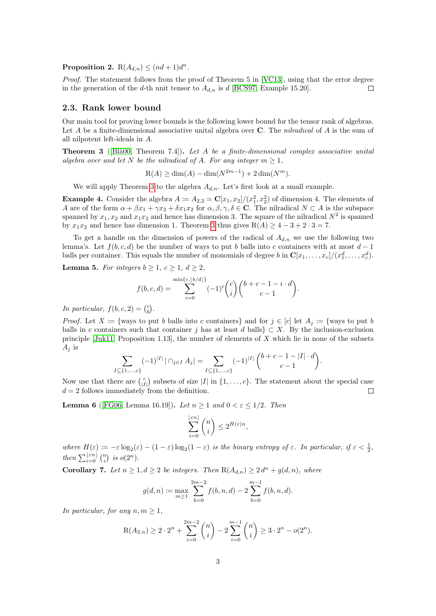Proposition 2.  $R(A_{d,n}) \leq (nd+1)d^n$ .

Proof. The statement follows from the proof of Theorem 5 in [\[VC13\]](#page-5-6), using that the error degree in the generation of the d-th unit tensor to  $A_{d,n}$  is d [\[BCS97,](#page-4-3) Example 15.20].  $\Box$ 

## 2.3. Rank lower bound

Our main tool for proving lower bounds is the following lower bound for the tensor rank of algebras. Let A be a finite-dimensional associative unital algebra over  $C$ . The *nilradical* of A is the sum of all nilpotent left-ideals in A.

<span id="page-2-1"></span>**Theorem 3** ([Blä00, Theorem 7.4]). Let A be a finite-dimensional complex associative unital algebra over and let N be the nilradical of A. For any integer  $m \geq 1$ ,

$$
R(A) \ge \dim(A) - \dim(N^{2m-1}) + 2\dim(N^m).
$$

We will apply Theorem [3](#page-2-1) to the algebra  $A_{d,n}$ . Let's first look at a small example.

**Example 4.** Consider the algebra  $A := A_{2,2} = \mathbb{C}[x_1, x_2]/(x_1^2, x_2^2)$  of dimension 4. The elements of A are of the form  $\alpha + \beta x_1 + \gamma x_2 + \delta x_1 x_2$  for  $\alpha, \beta, \gamma, \delta \in \mathbb{C}$ . The nilradical  $N \subset A$  is the subspace spanned by  $x_1, x_2$  and  $x_1x_2$  and hence has dimension 3. The square of the nilradical  $N^2$  is spanned by  $x_1x_2$  and hence has dimension 1. Theorem [3](#page-2-1) thus gives  $R(A) \ge 4-3+2 \cdot 3=7$ .

To get a handle on the dimension of powers of the radical of  $A_{d,n}$  we use the following two lemma's. Let  $f(b, c, d)$  be the number of ways to put b balls into c containers with at most  $d-1$ balls per container. This equals the number of monomials of degree b in  $\mathbf{C}[x_1,\ldots,x_c]/(x_1^d,\ldots,x_c^d)$ .

<span id="page-2-2"></span>**Lemma 5.** For integers  $b \geq 1$ ,  $c \geq 1$ ,  $d \geq 2$ ,

$$
f(b, c, d) = \sum_{i=0}^{\min\{c, \lfloor b/d \rfloor\}} (-1)^i {c \choose i} {b + c - 1 - i \cdot d \choose c - 1}.
$$

In particular,  $f(b, c, 2) = {c \choose b}$ .

*Proof.* Let  $X := \{$ ways to put b balls into c containers and for  $j \in [c]$  let  $A_j := \{$ ways to put b balls in c containers such that container j has at least d balls  $\subset X$ . By the inclusion-exclusion principle  $[\text{Juk11}, \text{Proposition 1.13}]$ , the number of elements of X which lie in none of the subsets  $A_j$  is

$$
\sum_{I \subseteq \{1,\dots,c\}} (-1)^{|I|} |\bigcap_{j \in I} A_j| = \sum_{I \subseteq \{1,\dots,c\}} (-1)^{|I|} {b + c - 1 - |I| \cdot d \choose c - 1}.
$$

Now use that there are  $\binom{c}{|I|}$  subsets of size |I| in {1, ..., c}. The statement about the special case  $d = 2$  follows immediately from the definition.  $\Box$ 

<span id="page-2-3"></span>**Lemma 6** ([\[FG06,](#page-5-8) Lemma 16.19]). Let  $n \geq 1$  and  $0 < \varepsilon \leq 1/2$ . Then

$$
\sum_{i=0}^{\lfloor \varepsilon n \rfloor} \binom{n}{i} \le 2^{H(\varepsilon)n},
$$

where  $H(\varepsilon) := -\varepsilon \log_2(\varepsilon) - (1-\varepsilon) \log_2(1-\varepsilon)$  is the binary entropy of  $\varepsilon$ . In particular, if  $\varepsilon < \frac{1}{2}$ , then  $\sum_{i=0}^{\lfloor \varepsilon n \rfloor} {n \choose i}$  is  $o(2^n)$ .

<span id="page-2-0"></span>**Corollary 7.** Let  $n \geq 1, d \geq 2$  be integers. Then  $R(A_{d,n}) \geq 2d^n + g(d,n)$ , where

$$
g(d, n) := \max_{m \ge 1} \sum_{b=0}^{2m-2} f(b, n, d) - 2 \sum_{b=0}^{m-1} f(b, n, d).
$$

In particular, for any  $n, m \geq 1$ ,

$$
R(A_{2,n}) \ge 2 \cdot 2^n + \sum_{i=0}^{2m-2} \binom{n}{i} - 2 \sum_{i=0}^{m-1} \binom{n}{i} \ge 3 \cdot 2^n - o(2^n).
$$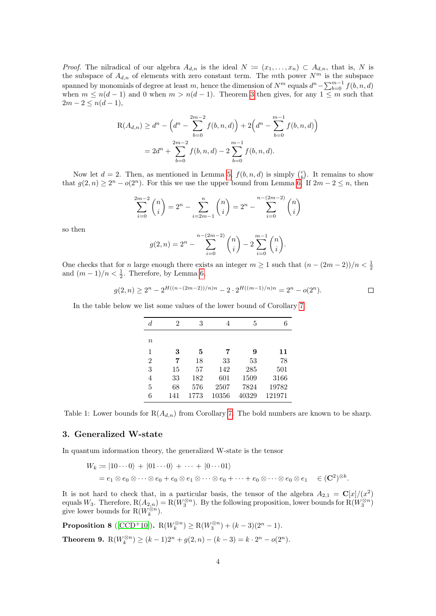*Proof.* The nilradical of our algebra  $A_{d,n}$  is the ideal  $N := (x_1, \ldots, x_n) \subset A_{d,n}$ , that is, N is the subspace of  $A_{d,n}$  of elements with zero constant term. The mth power  $N^m$  is the subspace spanned by monomials of degree at least m, hence the dimension of  $N^m$  equals  $d^n - \sum_{b=0}^{m-1} f(b, n, d)$ when  $m \le n(d-1)$  and 0 when  $m > n(d-1)$ . Theorem [3](#page-2-1) then gives, for any  $1 \le m$  such that  $2m - 2 \leq n(d - 1),$ 

$$
R(A_{d,n}) \ge d^{n} - \left(d^{n} - \sum_{b=0}^{2m-2} f(b,n,d)\right) + 2\left(d^{n} - \sum_{b=0}^{m-1} f(b,n,d)\right)
$$
  
=  $2d^{n} + \sum_{b=0}^{2m-2} f(b,n,d) - 2\sum_{b=0}^{m-1} f(b,n,d).$ 

Now let  $d = 2$ . Then, as mentioned in Lemma [5,](#page-2-2)  $f(b, n, d)$  is simply  $\binom{c}{b}$ . It remains to show that  $g(2,n) \geq 2^n - o(2^n)$ . For this we use the upper bound from Lemma [6.](#page-2-3) If  $2m - 2 \leq n$ , then

$$
\sum_{i=0}^{2m-2} \binom{n}{i} = 2^n - \sum_{i=2m-1}^n \binom{n}{i} = 2^n - \sum_{i=0}^{n-(2m-2)} \binom{n}{i}
$$

so then

$$
g(2,n) = 2^{n} - \sum_{i=0}^{n-(2m-2)} {n \choose i} - 2 \sum_{i=0}^{m-1} {n \choose i}.
$$

One checks that for n large enough there exists an integer  $m \ge 1$  such that  $(n - (2m - 2))/n < \frac{1}{2}$ and  $(m-1)/n < \frac{1}{2}$ . Therefore, by Lemma [6,](#page-2-3)

$$
g(2,n) \ge 2^n - 2^{H((n-(2m-2))/n)n} - 2 \cdot 2^{H((m-1)/n)n} = 2^n - o(2^n).
$$

In the table below we list some values of the lower bound of Corollary [7.](#page-2-0)

| $\boldsymbol{d}$ | 2   | 3    | 4     | 5     | 6      |
|------------------|-----|------|-------|-------|--------|
| $\boldsymbol{n}$ |     |      |       |       |        |
| 1                | 3   | 5    | 7     | 9     | 11     |
| $\overline{2}$   | 7   | 18   | 33    | 53    | 78     |
| 3                | 15  | 57   | 142   | 285   | 501    |
| 4                | 33  | 182  | 601   | 1509  | 3166   |
| $\overline{5}$   | 68  | 576  | 2507  | 7824  | 19782  |
| 6                | 141 | 1773 | 10356 | 40329 | 121971 |

Table 1: Lower bounds for  $R(A_{d,n})$  from Corollary [7.](#page-2-0) The bold numbers are known to be sharp.

## 3. Generalized W-state

In quantum information theory, the generalized W-state is the tensor

$$
W_k := |10 \cdots 0\rangle + |01 \cdots 0\rangle + \cdots + |0 \cdots 01\rangle
$$
  
=  $e_1 \otimes e_0 \otimes \cdots \otimes e_0 + e_0 \otimes e_1 \otimes \cdots \otimes e_0 + \cdots + e_0 \otimes \cdots \otimes e_0 \otimes e_1 \in (\mathbf{C}^2)^{\otimes k}.$ 

It is not hard to check that, in a particular basis, the tensor of the algebra  $A_{2,1} = \mathbb{C}[x]/(x^2)$ equals  $W_3$ . Therefore,  $R(A_{2,n}) = R(W_3^{\otimes n})$ . By the following proposition, lower bounds for  $R(W_3^{\otimes n})$ give lower bounds for  $R(W_k^{\otimes n})$ .

<span id="page-3-1"></span><span id="page-3-0"></span>**Proposition 8** ([\[CCD](#page-5-0)<sup>+</sup>10]).  $R(W_k^{\otimes n}) \ge R(W_3^{\otimes n}) + (k-3)(2^n - 1)$ . Theorem 9.  $R(W_k^{\otimes n}) \ge (k-1)2^n + g(2,n) - (k-3) = k \cdot 2^n - o(2^n)$ .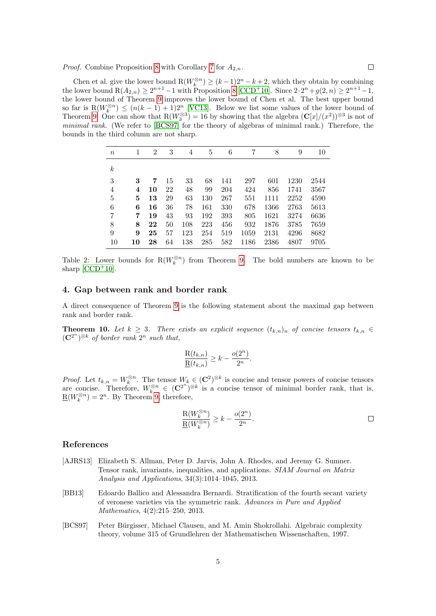Chen et al. give the lower bound  $R(W_k^{\otimes n}) \ge (k-1)2^n - k + 2$ , which they obtain by combining the lower bound  $R(A_{2,n}) \ge 2^{n+1}-1$  with Proposition [8](#page-3-1) [\[CCD](#page-5-0)<sup>+</sup>10]. Since  $2 \cdot 2^n + g(2,n) \ge 2^{n+1}-1$ , the lower bound of Theorem [9](#page-3-0) improves the lower bound of Chen et al. The best upper bound so far is  $R(W_k^{\otimes n}) \leq (n(k-1)+1)2^n$  [\[VC13\]](#page-5-6). Below we list some values of the lower bound of Theorem [9.](#page-3-0) One can show that  $R(W_3^{\otimes 3}) = 16$  by showing that the algebra  $(C[x]/(x^2))^{\otimes 3}$  is not of minimal rank. (We refer to [\[BCS97\]](#page-4-3) for the theory of algebras of minimal rank.) Therefore, the bounds in the third column are not sharp.

| $\, n$           |    | $\overline{2}$ | 3  | 4   | 5   | 6   | 7    | 8    | 9    | 10   |
|------------------|----|----------------|----|-----|-----|-----|------|------|------|------|
| $\boldsymbol{k}$ |    |                |    |     |     |     |      |      |      |      |
| 3                | 3  | 7              | 15 | 33  | 68  | 141 | 297  | 601  | 1230 | 2544 |
| $\overline{4}$   | 4  | 10             | 22 | 48  | 99  | 204 | 424  | 856  | 1741 | 3567 |
| $\overline{5}$   | 5  | 13             | 29 | 63  | 130 | 267 | 551  | 1111 | 2252 | 4590 |
| 6                | 6  | 16             | 36 | 78  | 161 | 330 | 678  | 1366 | 2763 | 5613 |
| $\overline{7}$   | 7  | 19             | 43 | 93  | 192 | 393 | 805  | 1621 | 3274 | 6636 |
| 8                | 8  | 22             | 50 | 108 | 223 | 456 | 932  | 1876 | 3785 | 7659 |
| 9                | 9  | 25             | 57 | 123 | 254 | 519 | 1059 | 2131 | 4296 | 8682 |
| 10               | 10 | 28             | 64 | 138 | 285 | 582 | 1186 | 2386 | 4807 | 9705 |

Table 2: Lower bounds for  $R(W_k^{\otimes n})$  from Theorem [9.](#page-3-0) The bold numbers are known to be sharp  $[CCD+10]$  $[CCD+10]$ .

# 4. Gap between rank and border rank

A direct consequence of Theorem [9](#page-3-0) is the following statement about the maximal gap between rank and border rank.

<span id="page-4-0"></span>**Theorem 10.** Let  $k \geq 3$ . There exists an explicit sequence  $(t_{k,n})_n$  of concise tensors  $t_{k,n} \in$  $(\mathbf{C}^{2^n})^{\otimes k}$  of border rank  $2^n$  such that,

$$
\frac{R(t_{k,n})}{\underline{R}(t_{k,n})} \geq k - \frac{o(2^n)}{2^n}.
$$

*Proof.* Let  $t_{k,n} = W_k^{\otimes n}$ . The tensor  $W_k \in (\mathbb{C}^2)^{\otimes k}$  is concise and tensor powers of concise tensors are concise. Therefore,  $W_k^{\otimes n} \in (\mathbb{C}^{2^n})^{\otimes k}$  is a concise tensor of minimal border rank, that is,  $\underline{\mathbf{R}}(W_k^{\otimes n}) = 2^n$ . By Theorem [9,](#page-3-0) therefore,

$$
\frac{\mathcal{R}(W_k^{\otimes n})}{\mathcal{R}(W_k^{\otimes n})} \geq k - \frac{o(2^n)}{2^n}.
$$

### References

- <span id="page-4-1"></span>[AJRS13] Elizabeth S. Allman, Peter D. Jarvis, John A. Rhodes, and Jeremy G. Sumner. Tensor rank, invariants, inequalities, and applications. SIAM Journal on Matrix Analysis and Applications, 34(3):1014–1045, 2013.
- <span id="page-4-2"></span>[BB13] Edoardo Ballico and Alessandra Bernardi. Stratification of the fourth secant variety of veronese varieties via the symmetric rank. Advances in Pure and Applied Mathematics, 4(2):215–250, 2013.
- <span id="page-4-3"></span>[BCS97] Peter Bürgisser, Michael Clausen, and M. Amin Shokrollahi. Algebraic complexity theory, volume 315 of Grundlehren der Mathematischen Wissenschaften, 1997.